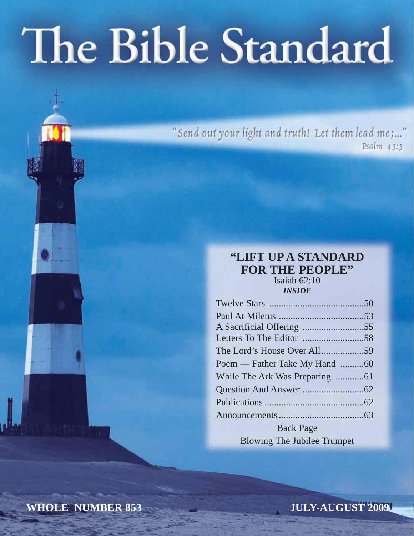# The Bible Standard

"Send out your light and truth! Let them lead me;..." Psalm 43:3

#### **"LIFT UP A STANDARD FOR THE PEOPLE"** Isaiah 62:10

*INSIDE*

| Poem — Father Take My Hand 60      |  |
|------------------------------------|--|
|                                    |  |
|                                    |  |
|                                    |  |
|                                    |  |
| <b>Back Page</b>                   |  |
| <b>Blowing The Jubilee Trumpet</b> |  |

**WHOLE NUMBER 853**

**JULY-AUGUST 2009**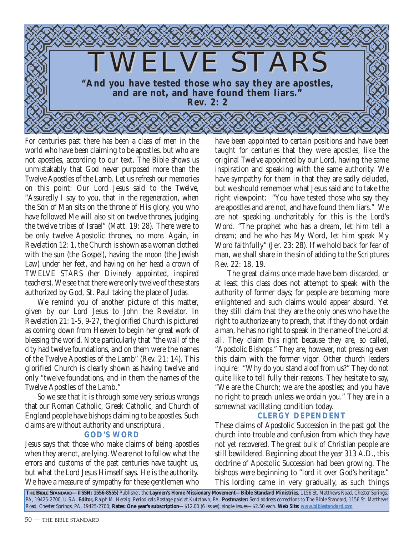

For centuries past there has been a class of men in the world who have been claiming to be apostles, but who are not apostles, according to our text. The Bible shows us unmistakably that God never purposed more than the Twelve Apostles of the Lamb. Let us refresh our memories on this point: Our Lord Jesus said to the Twelve, "Assuredly I say to you, that in the regeneration, when the Son of Man sits on the throne of His glory, you who have followed Me will also sit on twelve thrones, judging the twelve tribes of Israel" (Matt. 19: 28). There were to be only twelve Apostolic thrones, no more. Again, in Revelation 12: 1, the Church is shown as a woman clothed with the sun (the Gospel), having the moon (the Jewish Law) under her feet, and having on her head a crown of TWELVE STARS (her Divinely appointed, inspired teachers). We see that there were only twelve of these stars authorized by God, St. Paul taking the place of Judas.

We remind you of another picture of this matter, given by our Lord Jesus to John the Revelator. In Revelation 21: 1-5, 9-27, the glorified Church is pictured as coming down from Heaven to begin her great work of blessing the world. Note particularly that "the wall of the city had twelve foundations, and on them were the names of the Twelve Apostles of the Lamb" (Rev. 21: 14). This glorified Church is clearly shown as having twelve and only "twelve foundations, and in them the names of the Twelve Apostles of the Lamb."

So we see that it is through some very serious wrongs that our Roman Catholic, Greek Catholic, and Church of England people have bishops claiming to be apostles. Such claims are without authority and unscriptural.

#### **GOD'S WORD**

Jesus says that those who make claims of being apostles when they are not, are lying. We are not to follow what the errors and customs of the past centuries have taught us, but what the Lord Jesus Himself says. He is the authority. We have a measure of sympathy for these gentlemen who

have been appointed to certain positions and have been taught for centuries that they were apostles, like the original Twelve appointed by our Lord, having the same inspiration and speaking with the same authority. We have sympathy for them in that they are sadly deluded, but we should remember what Jesus said and to take the right viewpoint: "You have tested those who say they are apostles and are not, and have found them liars." We are not speaking uncharitably for this is the Lord's Word. "The prophet who has a dream, let him tell a dream; and he who has My Word, let him speak My Word faithfully" (Jer. 23: 28). If we hold back for fear of man, we shall share in the sin of adding to the Scriptures Rev. 22: 18, 19.

The great claims once made have been discarded, or at least this class does not attempt to speak with the authority of former days; for people are becoming more enlightened and such claims would appear absurd. Yet they still claim that they are the only ones who have the right to authorize any to preach, that if they do not ordain a man, he has no right to speak in the name of the Lord at all. They claim this right because they are, so called, "Apostolic Bishops." They are, however, not pressing even this claim with the former vigor. Other church leaders inquire: "Why do you stand aloof from us?" They do not quite like to tell fully their reasons. They hesitate to say, "We are the Church; we are the apostles; and you have no right to preach unless we ordain you." They are in a somewhat vacillating condition today.

#### **CLERGY DEPENDENT**

These claims of Apostolic Succession in the past got the church into trouble and confusion from which they have not yet recovered. The great bulk of Christian people are still bewildered. Beginning about the year 313 A.D., this doctrine of Apostolic Succession had been growing. The bishops were beginning to "lord it over God's heritage." This lording came in very gradually, as such things

**THE BIBLE STANDARD—(ISSN: 1556-8555)** Publisher, the **Laymen's Home Missionary Movement—Bible Standard Ministries**, 1156 St. Matthews Road, Chester Springs, PA, 19425-2700, U.S.A. **Editor,** Ralph M. Herzig. Periodicals Postage paid at Kutztown, PA. **Postmaster:** Send address corrections to The Bible Standard, 1156 St. Matthews Road, Chester Springs, PA, 19425-2700; **Rates: One year's subscription**—\$12.00 (6 issues); single issues—\$2.50 each. **Web Site:** *www.biblestandard.com*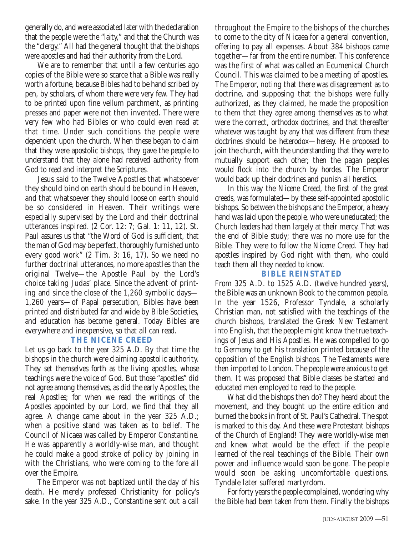generally do, and were associated later with the declaration that the people were the "laity," and that the Church was the "clergy." All had the general thought that the bishops were apostles and had their authority from the Lord.

We are to remember that until a few centuries ago copies of the Bible were so scarce that a Bible was really worth a fortune, because Bibles had to be hand scribed by pen, by scholars, of whom there were very few. They had to be printed upon fine vellum parchment, as printing presses and paper were not then invented. There were very few who had Bibles or who could even read at that time. Under such conditions the people were dependent upon the church. When these began to claim that they were apostolic bishops, they gave the people to understand that they alone had received authority from God to read and interpret the Scriptures.

Jesus said to the Twelve Apostles that whatsoever they should bind on earth should be bound in Heaven, and that whatsoever they should loose on earth should be so considered in Heaven. Their writings were especially supervised by the Lord and their doctrinal utterances inspired. (2 Cor. 12: 7; Gal. 1: 11, 12). St. Paul assures us that "the Word of God is sufficient, that the man of God may be perfect, thoroughly furnished unto every good work" (2 Tim. 3: 16, 17). So we need no further doctrinal utterances, no more apostles than the original Twelve—the Apostle Paul by the Lord's choice taking Judas' place. Since the advent of printing and since the close of the 1,260 symbolic days— 1,260 years—of Papal persecution, Bibles have been printed and distributed far and wide by Bible Societies, and education has become general. Today Bibles are everywhere and inexpensive, so that all can read.

#### **THE NICENE CREED**

Let us go back to the year 325 A.D. By that time the bishops in the church were claiming apostolic authority. They set themselves forth as the living apostles, whose teachings were the voice of God. But those "apostles" did not agree among themselves, as did the early Apostles, the real Apostles; for when we read the writings of the Apostles appointed by our Lord, we find that they all agree. A change came about in the year 325 A.D.; when a positive stand was taken as to belief. The Council of Nicaea was called by Emperor Constantine. He was apparently a worldly-wise man, and thought he could make a good stroke of policy by joining in with the Christians, who were coming to the fore all over the Empire.

The Emperor was not baptized until the day of his death. He merely professed Christianity for policy's sake. In the year 325 A.D., Constantine sent out a call

throughout the Empire to the bishops of the churches to come to the city of Nicaea for a general convention, offering to pay all expenses. About 384 bishops came together—far from the entire number. This conference was the first of what was called an Ecumenical Church Council. This was claimed to be a meeting of apostles. The Emperor, noting that there was disagreement as to doctrine, and supposing that the bishops were fully authorized, as they claimed, he made the proposition to them that they agree among themselves as to what were the correct, orthodox doctrines, and that thereafter whatever was taught by any that was different from these doctrines should be heterodox—heresy. He proposed to join the church, with the understanding that they were to mutually support each other; then the pagan peoples would flock into the church by hordes. The Emperor would back up their doctrines and punish all heretics.

In this way the Nicene Creed, the first of the great creeds, was formulated—by these self-appointed apostolic bishops. So between the bishops and the Emperor, a heavy hand was laid upon the people, who were uneducated; the Church leaders had them largely at their mercy. That was the end of Bible study; there was no more use for the Bible. They were to follow the Nicene Creed. They had apostles inspired by God right with them, who could teach them all they needed to know.

#### **BIBLE REINSTATED**

From 325 A.D. to 1525 A.D. (twelve hundred years), the Bible was an unknown Book to the common people. In the year 1526, Professor Tyndale, a scholarly Christian man, not satisfied with the teachings of the church bishops, translated the Greek New Testament into English, that the people might know the true teachings of Jesus and His Apostles. He was compelled to go to Germany to get his translation printed because of the opposition of the English bishops. The Testaments were then imported to London. The people were anxious to get them. It was proposed that Bible classes be started and educated men employed to read to the people.

What did the bishops then do? They heard about the movement, and they bought up the entire edition and burned the books in front of St. Paul's Cathedral. The spot is marked to this day. And these were Protestant bishops of the Church of England! They were worldly-wise men and knew what would be the effect if the people learned of the real teachings of the Bible. Their own power and influence would soon be gone. The people would soon be asking uncomfortable questions. Tyndale later suffered martyrdom.

For forty years the people complained, wondering why the Bible had been taken from them. Finally the bishops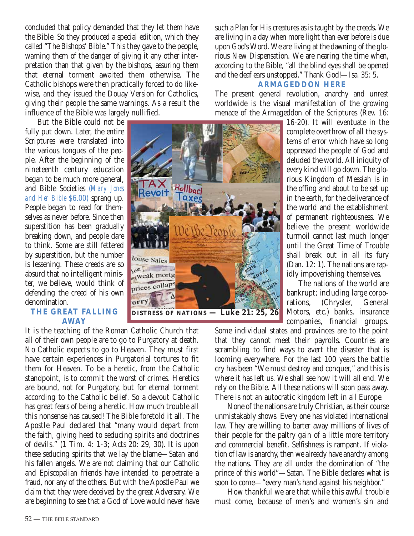concluded that policy demanded that they let them have the Bible. So they produced a special edition, which they called "The Bishops' Bible." This they gave to the people, warning them of the danger of giving it any other interpretation than that given by the bishops, assuring them that eternal torment awaited them otherwise. The Catholic bishops were then practically forced to do likewise, and they issued the Douay Version for Catholics, giving their people the same warnings. As a result the influence of the Bible was largely nullified.

But the Bible could not be fully put down. Later, the entire Scriptures were translated into the various tongues of the people. After the beginning of the nineteenth century education began to be much more general, and Bible Societies (*Mary Jones and Her Bible* \$6.00) sprang up. People began to read for themselves as never before. Since then superstition has been gradually breaking down, and people dare to think. Some are still fettered by superstition, but the number is lessening. These creeds are so absurd that no intelligent minister, we believe, would think of defending the creed of his own denomination.

#### **THE GREAT FALLING AWAY**

It is the teaching of the Roman Catholic Church that all of their own people are to go to Purgatory at death. No Catholic expects to go to Heaven. They must first have certain experiences in Purgatorial tortures to fit them for Heaven. To be a heretic, from the Catholic standpoint, is to commit the worst of crimes. Heretics are bound, not for Purgatory, but for eternal torment according to the Catholic belief. So a devout Catholic has great fears of being a heretic. How much trouble all this nonsense has caused! The Bible foretold it all. The Apostle Paul declared that "many would depart from the faith, giving heed to seducing spirits and doctrines of devils." (1 Tim. 4: 1-3; Acts 20: 29, 30). It is upon these seducing spirits that we lay the blame—Satan and his fallen angels. We are not claiming that our Catholic and Episcopalian friends have intended to perpetrate a fraud, nor any of the others. But with the Apostle Paul we claim that they were deceived by the great Adversary. We are beginning to see that a God of Love would never have such a Plan for His creatures as is taught by the creeds. We are living in a day when more light than ever before is due upon God's Word. We are living at the dawning of the glorious New Dispensation. We are nearing the time when, according to the Bible, "all the blind eyes shall be opened and the deaf ears unstopped." Thank God!—Isa. 35: 5.

#### **ARMAGEDDON HERE**

The present general revolution, anarchy and unrest worldwide is the visual manifestation of the growing menace of the Armageddon of the Scriptures (Rev. 16:

> 16-20). It will eventuate in the complete overthrow of all the systems of error which have so long oppressed the people of God and deluded the world. All iniquity of every kind will go down. The glorious Kingdom of Messiah is in the offing and about to be set up in the earth, for the deliverance of the world and the establishment of permanent righteousness. We believe the present worldwide turmoil cannot last much longer until the Great Time of Trouble shall break out in all its fury (Dan. 12: 1). The nations are rapidly impoverishing themselves.

> The nations of the world are bankrupt; including large corporations, (Chrysler, General Motors, etc.) banks, insurance companies, financial groups.

Some individual states and provinces are to the point that they cannot meet their payrolls. Countries are scrambling to find ways to avert the disaster that is looming everywhere. For the last 100 years the battle cry has been "We must destroy and conquer," and this is where it has left us. We shall see how it will all end. We rely on the Bible. All these nations will soon pass away. There is not an autocratic kingdom left in all Europe.

None of the nations are truly Christian, as their course unmistakably shows. Every one has violated international law. They are willing to barter away millions of lives of their people for the paltry gain of a little more territory and commercial benefit. Selfishness is rampant. If violation of law is anarchy, then we already have anarchy among the nations. They are all under the domination of "the prince of this world"—Satan. The Bible declares what is soon to come—"every man's hand against his neighbor."

How thankful we are that while this awful trouble must come, because of men's and women's sin and

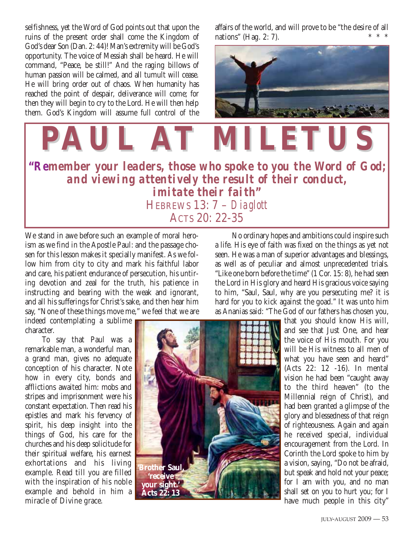selfishness, yet the Word of God points out that upon the ruins of the present order shall come the Kingdom of God's dear Son (Dan. 2: 44)! Man's extremity will be God's opportunity. The voice of Messiah shall be heard. He will command, "Peace, be still!" And the raging billows of human passion will be calmed, and all tumult will cease. He will bring order out of chaos. When humanity has reached the point of despair, deliverance will come; for then they will begin to cry to the Lord. He will then help them. God's Kingdom will assume full control of the affairs of the world, and will prove to be "the desire of all nations" (Hag.  $2: 7$ ).



**"***Remember your leaders, those who spoke to you the Word of God; and viewing attentively the result of their conduct, imitate their faith***"** HEBREWS 13: 7 – *Diaglott* ACTS 20: 22-35 **PAUL AT MILETUS T MILETUS**

We stand in awe before such an example of moral heroism as we find in the Apostle Paul: and the passage chosen for this lesson makes it specially manifest. As we follow him from city to city and mark his faithful labor and care, his patient endurance of persecution, his untiring devotion and zeal for the truth, his patience in instructing and bearing with the weak and ignorant, and all his sufferings for Christ's sake, and then hear him say, "None of these things move me," we feel that we are

indeed contemplating a sublime character.

To say that Paul was a remarkable man, a wonderful man, a grand man, gives no adequate conception of his character. Note how in every city, bonds and afflictions awaited him: mobs and stripes and imprisonment were his constant expectation. Then read his epistles and mark his fervency of spirit, his deep insight into the things of God, his care for the churches and his deep solicitude for their spiritual welfare, his earnest exhortations and his living example. Read till you are filled with the inspiration of his noble example and behold in him a miracle of Divine grace.

No ordinary hopes and ambitions could inspire such a life. His eye of faith was fixed on the things as yet not seen. He was a man of superior advantages and blessings, as well as of peculiar and almost unprecedented trials. "Like one born before the time" (1 Cor. 15: 8), he had seen the Lord in His glory and heard His gracious voice saying to him, "Saul, Saul, why are you persecuting me? it is hard for you to kick against the goad." It was unto him as Ananias said: "The God of our fathers has chosen you,



that you should know His will, and see that Just One, and hear the voice of His mouth. For you will be His witness to all men of what you have seen and heard" (Acts 22: 12 -16). In mental vision he had been "caught away to the third heaven" (to the Millennial reign of Christ), and had been granted a glimpse of the glory and blessedness of that reign of righteousness. Again and again he received special, individual encouragement from the Lord. In Corinth the Lord spoke to him by a vision, saying, "Do not be afraid, but speak and hold not your peace; for I am with you, and no man shall set on you to hurt you; for I have much people in this city"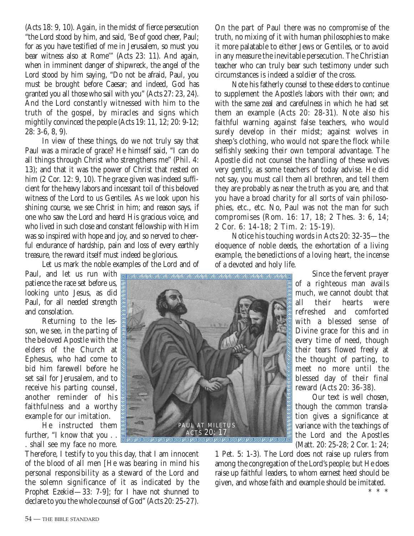(Acts 18: 9, 10). Again, in the midst of fierce persecution "the Lord stood by him, and said, 'Be of good cheer, Paul; for as you have testified of me in Jerusalem, so must you bear witness also at Rome'" (Acts 23: 11). And again, when in imminent danger of shipwreck, the angel of the Lord stood by him saying, "Do not be afraid, Paul, you must be brought before Caesar; and indeed, God has granted you all those who sail with you" (Acts 27: 23, 24). And the Lord constantly witnessed with him to the truth of the gospel, by miracles and signs which mightily convinced the people (Acts 19: 11, 12; 20: 9-12; 28: 3-6, 8, 9).

In view of these things, do we not truly say that Paul was a miracle of grace? He himself said, "I can do all things through Christ who strengthens me" (Phil. 4: 13); and that it was the power of Christ that rested on him (2 Cor. 12: 9, 10). The grace given was indeed sufficient for the heavy labors and incessant toil of this beloved witness of the Lord to us Gentiles. As we look upon his shining course, we see Christ in him; and reason says, if one who saw the Lord and heard His gracious voice, and who lived in such close and constant fellowship with Him was so inspired with hope and joy, and so nerved to cheerful endurance of hardship, pain and loss of every earthly treasure, the reward itself must indeed be glorious.

Let us mark the noble examples of the Lord and of

patience the race set before us, looking unto Jesus, as did Paul, for all needed strength and consolation.

Returning to the lesson, we see, in the parting of the beloved Apostle with the elders of the Church at Ephesus, who had come to bid him farewell before he set sail for Jerusalem, and to receive his parting counsel, another reminder of his faithfulness and a worthy example for our imitation.

He instructed them further, "I know that you . . . shall see my face no more.

Therefore, I testify to you this day, that I am innocent of the blood of all men [He was bearing in mind his personal responsibility as a steward of the Lord and the solemn significance of it as indicated by the Prophet Ezekiel—33: 7-9]; for I have not shunned to declare to you the whole counsel of God" (Acts 20: 25-27).

On the part of Paul there was no compromise of the truth, no mixing of it with human philosophies to make it more palatable to either Jews or Gentiles, or to avoid in any measure the inevitable persecution. The Christian teacher who can truly bear such testimony under such circumstances is indeed a soldier of the cross.

Note his fatherly counsel to these elders to continue to supplement the Apostle's labors with their own; and with the same zeal and carefulness in which he had set them an example (Acts 20: 28-31). Note also his faithful warning against false teachers, who would surely develop in their midst; against wolves in sheep's clothing, who would not spare the flock while selfishly seeking their own temporal advantage. The Apostle did not counsel the handling of these wolves very gently, as some teachers of today advise. He did not say, you must call them all brethren, and tell them they are probably as near the truth as you are, and that you have a broad charity for all sorts of vain philosophies, etc., etc. No, Paul was not the man for such compromises (Rom. 16: 17, 18; 2 Thes. 3: 6, 14; 2 Cor. 6: 14-18; 2 Tim. 2: 15-19).

Notice his touching words in Acts 20: 32-35—the eloquence of noble deeds, the exhortation of a living example, the benedictions of a loving heart, the incense of a devoted and holy life.

> Since the fervent prayer of a righteous man avails much, we cannot doubt that all their hearts were refreshed and comforted with a blessed sense of Divine grace for this and in every time of need, though their tears flowed freely at the thought of parting, to meet no more until the blessed day of their final reward (Acts 20: 36-38).

Our text is well chosen, though the common translation gives a significance at variance with the teachings of the Lord and the Apostles (Matt. 20: 25-28; 2 Cor. 1: 24;

\*\*\*

1 Pet. 5: 1-3). The Lord does not raise up rulers from among the congregation of the Lord's people; but He does raise up faithful leaders, to whom earnest heed should be given, and whose faith and example should be imitated.

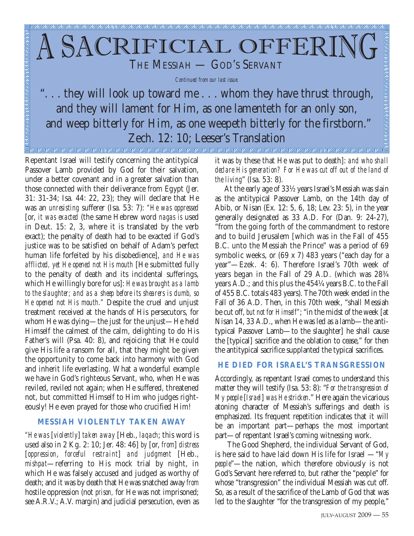## CRIFICIAL OFFER THE MESSIAH - GOD'S SERVANT

*Continued from our last issue.*

.. they will look up toward me . . . whom they have thrust through, and they will lament for Him, as one lamenteth for an only son, and weep bitterly for Him, as one weepeth bitterly for the firstborn." Zech. 12: 10; Leeser's Translation 

Repentant Israel will testify concerning the antitypical Passover Lamb provided by God for their salvation, under a better covenant and in a greater salvation than those connected with their deliverance from Egypt (Jer. 31: 31-34; Isa. 44: 22, 23); they will declare that He was an *unresisting* sufferer (Isa. 53: 7): *"He was oppressed* [or, *it was exacted* (the same Hebrew word *nagas is* used in Deut. 15: 2, 3, where it is translated by the verb exact); the penalty of death had to be exacted if God's justice was to be satisfied on behalf of Adam's perfect human life forfeited by his disobedience], *and He was afflicted, yet He opened not His mouth* [He submitted fully to the penalty of death and its incidental sufferings, which He willingly bore for us]: *He was brought as a lamb to the slaughter; and as a sheep before its shearers is dumb, so He opened not His mouth."* Despite the cruel and unjust treatment received at the hands of His persecutors, for whom He was dying—the just for the unjust—He held Himself the calmest of the calm, delighting to do His Father's will (Psa. 40: 8), and rejoicing that He could give His life a ransom for all, that they might be given the opportunity to come back into harmony with God and inherit life everlasting. What a wonderful example we have in God's righteous Servant, who, when He was reviled, reviled not again; when He suffered, threatened not, but committed Himself to Him who judges righteously! He even prayed for those who crucified Him!

#### **MESSIAH VIOLENTLY TAKEN AWAY**

*"He was* [*violently*] *taken away* [Heb., *laqach*; this word is used also in 2 Kg. 2: 10; Jer. 48: 46] *by* [or, *from*] *distress* [*oppression*, *forceful restraint*] *and judgment* [Heb., *mishpat*—referring to His mock trial by night, in which He was falsely accused and judged as worthy of death; and it was by death that He was snatched away *from* hostile oppression (not *prison,* for He was not imprisoned; see A.R.V.; A.V. margin) and judicial persecution, even as it was *by* these that He was put to death]: *and who shall declare His generation? For He was cut off out of the land of the living*" (Isa. 53: 8).

At the early age of 33½ years Israel's Messiah was slain as the antitypical Passover Lamb, on the 14th day of Abib, or Nisan (Ex. 12: 5, 6, 18; Lev. 23: 5), in the year generally designated as 33 A.D. For (Dan. 9: 24-27), "from the going forth of the commandment to restore and to build Jerusalem [which was in the Fall of 455 B.C. unto the Messiah the Prince" was a period of 69 symbolic weeks, or (69 x 7) 483 years ("each day for a year"—Ezek. 4: 6). Therefore Israel's 70th week of years began in the Fall of 29 A.D. (which was 28¾ years A.D.; and this plus the 454¼ years B.C. to the Fall of 455 B.C. totals 483 years). The 70th week ended in the Fall of 36 A.D. Then, in this 70th week, "shall Messiah be cut off, *but not for Himself"*; "in the midst of the week [at Nisan 14, 33 A.D., when He was led as a lamb—the antitypical Passover Lamb—to the slaughter] he shall cause the [typical] sacrifice and the oblation to cease," for then the antitypical sacrifice supplanted the typical sacrifices.

#### **HE DIED FOR ISRAEL'S TRANSGRESSION**

Accordingly, as repentant Israel comes to understand this matter they will testify (Isa. 53: 8): "*For the transgression of My people* [*Israel*] *was He stricken*." Here again the vicarious atoning character of Messiah's sufferings and death is emphasized. Its frequent repetition indicates that it will be an important part—perhaps the most important part—of repentant Israel's coming witnessing work.

The Good Shepherd, the individual Servant of God, is here said to have laid down His life for Israel —"*My people*"—the nation, which therefore obviously is not God's Servant here referred to, but rather the "people" for whose "transgression" the individual Messiah was cut off. So, as a result of the sacrifice of the Lamb of God that was led to the slaughter "for the transgression of my people,"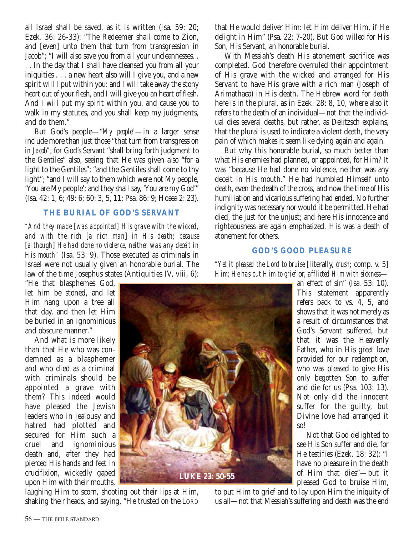all Israel shall be saved, as it is written (Isa. 59: 20; Ezek. 36: 26-33): "The Redeemer shall come to Zion, and [even] unto them that turn from transgression in Jacob"; "I will also save you from all your uncleannesses. .

. . In the day that I shall have cleansed you from all your iniquities . . . a new heart also will I give you, and a new spirit will I put within you: and I will take away the stony heart out of your flesh, and I will give you an heart of flesh. And I will put my spirit within you, and cause you to walk in my statutes, and you shall keep my judgments, and do them."

But God's people—"*My people"*—in a larger sense include more than just those "that turn from transgression *in Jacob"*; for God's Servant "shall bring forth judgment to the Gentiles" also, seeing that He was given also "for a light to the Gentiles"; "and the Gentiles shall come to thy light"; "and I will say to them which were not My people, 'You are My people'; and they shall say, 'You are my God'" (Isa. 42: 1, 6; 49: 6; 60: 3, 5, 11; Psa. 86: 9; Hosea 2: 23).

#### **THE BURIAL OF GOD'S SERVANT**

*"And they made* [*was appointed*] *His grave with the wicked, and with the rich* [*a rich man*] *in His death; because* [*although*] *He had done no violence, neither was any deceit in His mouth"* (Isa. 53: 9). Those executed as criminals in Israel were not usually given an honorable burial. The law of the time Josephus states (Antiquities IV, viii, 6):

that He would deliver Him: let Him deliver Him, if He delight in Him" (Psa. 22: 7-20). But God willed for His Son, His Servant, an honorable burial.

With Messiah's death His atonement sacrifice was completed. God therefore overruled their appointment of His grave with the wicked and arranged for His Servant to have His grave with a rich man (Joseph of Arimathaea) in His death. The Hebrew word for *death* here is in the plural, as in Ezek. 28: 8, 10, where also it refers to the death of an individual—not that the individual dies several deaths, but rather, as Delitzsch explains, that the plural is used to indicate a violent death, the very pain of which makes it seem like dying again and again.

But why this honorable burial, so much better than what His enemies had planned, or appointed, for Him? It was "because He had done no violence, neither was any deceit in His mouth." He had humbled Himself unto death, even the death of the cross, and now the time of His humiliation and vicarious suffering had ended. No further indignity was necessary nor would it be permitted. He had died, the just for the unjust; and here His innocence and righteousness are again emphasized. His was a death of atonement for others.

#### **GOD'S GOOD PLEASURE**

*"Yet it pleased the Lord to bruise* [literally, *crush;* comp. v. 5] *Him; He has put Him to grief* or, *afflicted Him with sickness*—

"He that blasphemes God, let him be stoned, and let Him hang upon a tree all that day, and then let Him be buried in an ignominious and obscure manner."

And what is more likely than that He who was condemned as a blasphemer and who died as a criminal with criminals should be appointed a grave with them? This indeed would have pleased the Jewish leaders who in jealousy and hatred had plotted and secured for Him such a cruel and ignominious death and, after they had pierced His hands and feet in crucifixion, wickedly gaped upon Him with their mouths,



laughing Him to scorn, shooting out their lips at Him, shaking their heads, and saying, "He trusted on the LORD an effect of sin" (Isa. 53: 10). This statement apparently refers back to vs. 4, 5, and shows that it was not merely as a result of circumstances that God's Servant suffered, but that it was the Heavenly Father, who in His great love provided for our redemption, who was pleased to give His only begotten Son to suffer and die for us (Psa. 103: 13). Not only did the innocent suffer for the guilty, but Divine love had arranged it so!

Not that God delighted to see His Son suffer and die, for He testifies (Ezek. 18: 32): "I have no pleasure in the death of Him that dies"—but it pleased God to bruise Him,

to put Him to grief and to lay upon Him the iniquity of us all—not that Messiah's suffering and death was the end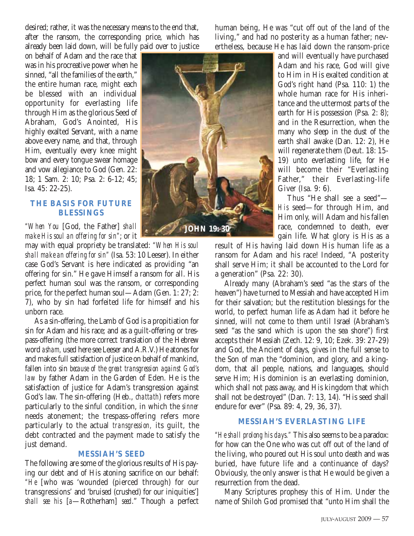desired; rather, it was the necessary means to the end that, after the ransom, the corresponding price, which has already been laid down, will be fully paid over to justice

on behalf of Adam and the race that was in his procreative power when he sinned, "all the families of the earth," the entire human race, might each be blessed with an individual opportunity for everlasting life through Him as the glorious Seed of Abraham, God's Anointed, His highly exalted Servant, with a name above every name, and that, through Him, eventually every knee might bow and every tongue swear homage and vow allegiance to God (Gen. 22: 18; 1 Sam. 2: 10; Psa. 2: 6-12; 45; Isa. 45: 22-25).

#### **THE BASIS FOR FUTURE BLESSINGS**

*"When You* [God, the Father] *shall make His soul an offering for sin"*; or it

may with equal propriety be translated: *"When His soul shall make an offering for sin"* (Isa. 53: 10 Leeser). In either case God's Servant is here indicated as providing "an offering for sin." He gave Himself a ransom for all. His perfect human soul was the ransom, or corresponding price, for the perfect human soul—Adam (Gen. 1: 27; 2: 7), who by sin had forfeited life for himself and his unborn race.

As a sin-offering, the Lamb of God is a propitiation for sin for Adam and his race; and as a guilt-offering or trespass-offering (the more correct translation of the Hebrew word *asham,* used here see Leeser and A.R.V.) He atones for and makes full satisfaction of justice on behalf of mankind, fallen into sin *because of the great transgression against God's law* by father Adam in the Garden of Eden. He is the satisfaction of justice for Adam's transgression against God's law. The sin-offering (Heb., *chattath*) refers more particularly to the sinful condition, in which the *sinner* needs atonement; the trespass-offering refers more particularly to the actual *transgression,* its guilt, the debt contracted and the payment made to satisfy the just demand.

#### **MESSIAH'S SEED**

The following are some of the glorious results of His paying our debt and of His atoning sacrifice on our behalf: *"He* [who was 'wounded (pierced through) for our transgressions' and 'bruised (crushed) for our iniquities'] *shall see his* [*a*—Rotherham] *seed*." Though a perfect human being, He was "cut off out of the land of the living," and had no posterity as a human father; nevertheless, because He has laid down the ransom-price



and will eventually have purchased Adam and his race, God will give to Him in His exalted condition at God's right hand (Psa. 110: 1) the whole human race for His inheritance and the uttermost parts of the earth for His possession (Psa. 2: 8); and in the Resurrection, when the many who sleep in the dust of the earth shall awake (Dan. 12: 2), He will regenerate them (Deut. 18: 15- 19) unto everlasting life, for He will become their "Everlasting Father," their Everlasting-life Giver (Isa. 9: 6).

Thus "He shall see a seed"— *His* seed—for through Him, and Him only, will Adam and his fallen race, condemned to death, ever gain life. What glory is His as a

result of His having laid down His human life as a ransom for Adam and his race! Indeed, "A posterity shall serve Him; it shall be accounted to the Lord for a generation" (Psa. 22: 30).

Already many (Abraham's seed "as the stars of the heaven") have turned to Messiah and have accepted Him for their salvation; but the restitution blessings for the world, to perfect human life as Adam had it before he sinned, will not come to them until Israel (Abraham's seed "as the sand which is upon the sea shore") first accepts their Messiah (Zech. 12: 9, 10; Ezek. 39: 27-29) and God, the Ancient of days, gives in the full sense to the Son of man the "dominion, and glory, and a kingdom, that all people, nations, and languages, should serve Him; His dominion is an everlasting dominion, which shall not pass away, and His kingdom that which shall not be destroyed" (Dan. 7: 13, 14). "His seed shall endure for ever" (Psa. 89: 4, 29, 36, 37).

#### **MESSIAH'S EVERLASTING LIFE**

*"He shall prolong his days."* This also seems to be a paradox: for how can the One who was cut off out of the land of the living, who poured out His soul unto death and was buried, have future life and a continuance of days? Obviously, the only answer is that He would be given a resurrection from the dead.

Many Scriptures prophesy this of Him. Under the name of Shiloh God promised that "unto Him shall the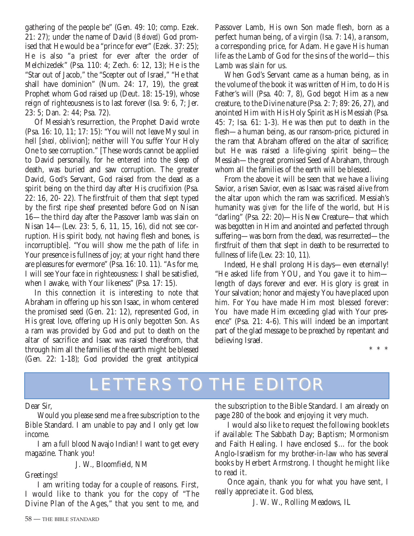gathering of the people be" (Gen. 49: 10; comp. Ezek. 21: 27); under the name of David *(Beloved)* God promised that He would be a "prince for ever" (Ezek. 37: 25); He is also "a priest for ever after the order of Melchizedek" (Psa. 110: 4; Zech. 6: 12, 13); He is the "Star out of Jacob," the "Scepter out of Israel," "He that shall have dominion" (Num. 24: 17, 19), the great Prophet whom God raised up (Deut. 18: 15-19), whose reign of righteousness is to last forever (Isa. 9: 6, 7; Jer. 23: 5; Dan. 2: 44; Psa. 72).

Of Messiah's resurrection, the Prophet David wrote (Psa. 16: 10, 11; 17: 15): "You will not leave My soul in hell [*sheol,* oblivion]; neither will You suffer Your Holy One to see corruption." [These words cannot be applied to David personally, for he entered into the sleep of death, was buried and saw corruption. The greater David, God's Servant, God raised from the dead as a spirit being on the third day after His crucifixion (Psa. 22: 16, 20- 22). The firstfruit of them that slept typed by the first ripe sheaf presented before God on Nisan 16—the third day after the Passover lamb was slain on Nisan 14—(Lev. 23: 5, 6, 11, 15, 16), did not see corruption. His spirit body, not having flesh and bones, is incorruptible]. "You will show me the path of life: in Your presence is fullness of joy; at your right hand there are pleasures for evermore" (Psa. 16: 10. 11). "As for me, I will see Your face in righteousness: I shall be satisfied, when I awake, with Your likeness" (Psa. 17: 15).

In this connection it is interesting to note that Abraham in offering up his son Isaac, in whom centered the promised seed (Gen. 21: 12), represented God, in His great love, offering up His only begotten Son. As a ram was provided by God and put to death on the altar of sacrifice and Isaac was raised therefrom, that through him all the families of the earth might be blessed (Gen. 22: 1-18); God provided the great antitypical

Passover Lamb, His own Son made flesh, born as a perfect human being, of a virgin (Isa. 7: 14), a ransom, a corresponding price, for Adam. He gave His human life as the Lamb of God for the sins of the world—this Lamb was slain for us.

When God's Servant came as a human being, as in the volume of the book it was written of Him, to do His Father's will (Psa. 40: 7, 8), God begot Him as a new creature, to the Divine nature (Psa. 2: 7; 89: 26, 27), and anointed Him with His Holy Spirit as His Messiah (Psa. 45: 7; Isa. 61: 1-3). He was then put to death in the flesh—a human being, as our ransom-price, pictured in the ram that Abraham offered on the altar of sacrifice; but He was raised a life-giving spirit being—the Messiah—the great promised Seed of Abraham, through whom all the families of the earth will be blessed.

From the above it will be seen that we have a living Savior, a risen Savior, even as Isaac was raised alive from the altar upon which the ram was sacrificed. Messiah's humanity was *given* for the life of the world, but His "darling" (Psa. 22: 20)—His New Creature—that which was begotten in Him and anointed and perfected through suffering—was born from the dead, was resurrected—the firstfruit of them that slept in death to be resurrected to fullness of life (Lev. 23: 10, 11).

Indeed, He shall prolong His days—even eternally! "He asked life from YOU, and You gave it to him length of days forever and ever. His glory is great in Your salvation; honor and majesty You have placed upon him. For You have made Him most blessed forever: You have made Him exceeding glad with Your presence" (Psa. 21: 4-6). This will indeed be an important part of the glad message to be preached by repentant and believing Israel.

\*\*\*

## LETTERS TO THE EDITOR

Dear Sir,

Would you please send me a free subscription to the Bible Standard. I am unable to pay and I only get low income.

I am a full blood Navajo Indian! I want to get every magazine. Thank you!

J. W., Bloomfield, NM

#### Greetings!

I am writing today for a couple of reasons. First, I would like to thank you for the copy of "The Divine Plan of the Ages," that you sent to me, and the subscription to the Bible Standard. I am already on page 280 of the book and enjoying it very much.

I would also like to request the following booklets if available: The Sabbath Day; Baptism; Mormonism and Faith Healing. I have enclosed \$... for the book Anglo-Israelism for my brother-in-law who has several books by Herbert Armstrong. I thought he might like to read it.

Once again, thank you for what you have sent, I really appreciate it. God bless,

J. W. W., Rolling Meadows, IL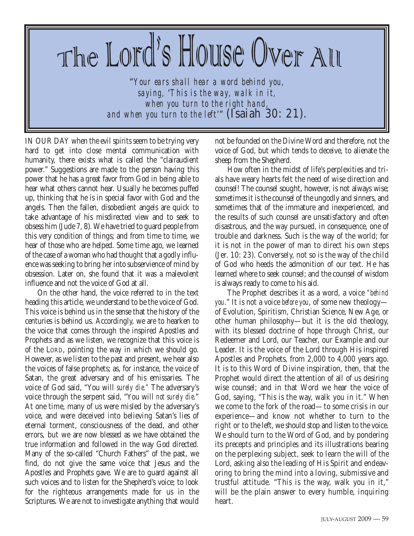## The Lord's House Over All

"*Your ears shall hear a word behind you, saying,* '*This is the way, walk in it, when you turn to the right hand, and when you turn to the left*'" (Isaiah 30: 21).

IN OUR DAY when the evil spirits seem to be trying very hard to get into close mental communication with humanity, there exists what is called the "clairaudient power." Suggestions are made to the person having this power that he has a great favor from God in being able to hear what others cannot hear. Usually he becomes puffed up, thinking that he is in special favor with God and the angels. Then the fallen, disobedient angels are quick to take advantage of his misdirected view and to seek to obsess him (Jude 7, 8). We have tried to guard people from this very condition of things; and from time to time, we hear of those who are helped. Some time ago, we learned of the case of a woman who had thought that a godly influence was seeking to bring her into subservience of mind by obsession. Later on, she found that it was a malevolent influence and not the voice of God at all.

On the other hand, the voice referred to in the text heading this article, we understand to be the voice of God. This voice is behind us in the sense that the history of the centuries is behind us. Accordingly, we are to hearken to the voice that comes through the inspired Apostles and Prophets and as we listen, we recognize that this voice is of the LORD, pointing the way in which we should go. However, as we listen to the past and present, we hear also the voices of false prophets; as, for instance, the voice of Satan, the great adversary and of his emissaries. The voice of God said, "You will *surely die."* The adversary's voice through the serpent said, "You will *not surely die*." At one time, many of us were misled by the adversary's voice, and were deceived into believing Satan's lies of eternal torment, consciousness of the dead, and other errors, but we are now blessed as we have obtained the true information and followed in the way God directed. Many of the so-called "Church Fathers" of the past, we find, do not give the same voice that Jesus and the Apostles and Prophets gave. We are to guard against all such voices and to listen for the Shepherd's voice; to look for the righteous arrangements made for us in the Scriptures. We are not to investigate anything that would

not be founded on the Divine Word and therefore, not the voice of God, but which tends to deceive, to alienate the sheep from the Shepherd.

How often in the midst of life's perplexities and trials have weary hearts felt the need of wise direction and counsel! The counsel sought, however, is not always wise; sometimes it is the counsel of the ungodly and sinners, and sometimes that of the immature and inexperienced, and the results of such counsel are unsatisfactory and often disastrous, and the way pursued, in consequence, one of trouble and darkness. Such is the way of the world; for it is not in the power of man to direct his own steps (Jer. 10: 23). Conversely, not so is the way of the child of God who heeds the admonition of our text. He has learned where to seek counsel; and the counsel of wisdom is always ready to come to his aid.

The Prophet describes it as a word, a voice *"behind you*." It is not a voice *before you*, of some new theology of Evolution, Spiritism, Christian Science, New Age, or other human philosophy—but it is the old theology, with its blessed doctrine of hope through Christ, our Redeemer and Lord, our Teacher, our Example and our Leader. It is the voice of the Lord through His inspired Apostles and Prophets, from 2,000 to 4,000 years ago. It is to this Word of Divine inspiration, then, that the Prophet would direct the attention of all of us desiring wise counsel; and in that Word we hear the voice of God, saying, "This is the way, walk you in it." When we come to the fork of the road—to some crisis in our experience—and know not whether to turn to the right or to the left, we should stop and listen to the voice. We should turn to the Word of God, and by pondering its precepts and principles and its illustrations bearing on the perplexing subject, seek to learn the will of the Lord, asking also the leading of His Spirit and endeavoring to bring the mind into a loving, submissive and trustful attitude. "This is the way, walk you in it," will be the plain answer to every humble, inquiring heart.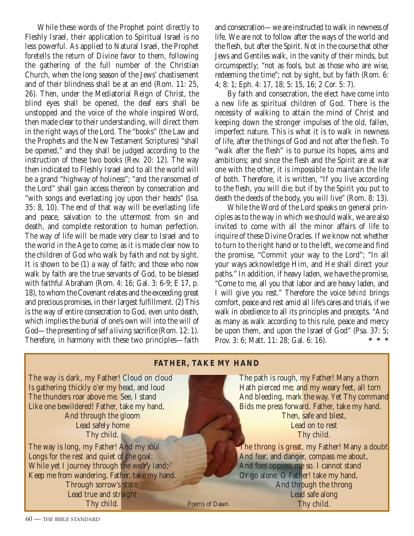While these words of the Prophet point directly to Fleshly Israel, their application to Spiritual Israel is no less powerful. As applied to Natural Israel, the Prophet foretells the return of Divine favor to them, following the gathering of the full number of the Christian Church, when the long season of the Jews' chastisement and of their blindness shall be at an end (Rom. 11: 25, 26). Then, under the Mediatorial Reign of Christ, the blind eyes shall be opened, the deaf ears shall be unstopped and the voice of the whole inspired Word, then made clear to their understanding, will direct them in the right ways of the Lord. The "books" (the Law and the Prophets and the New Testament Scriptures) "shall be opened," and they shall be judged according to the instruction of these two books (Rev. 20: 12). The way then indicated to Fleshly Israel and to all the world will be a grand "highway of holiness"; "and the ransomed of the Lord" shall gain access thereon by consecration and "with songs and everlasting joy upon their heads" (Isa. 35: 8, 10). The end of that way will be everlasting life and peace, salvation to the uttermost from sin and death, and complete restoration to human perfection. The way of life will be made very clear to Israel and to the world in the Age to come; as it is made clear now to the children of God who walk by faith and not by sight. It is shown to be (1) a way of faith; and those who now walk by faith are the true servants of God, to be blessed with faithful Abraham (Rom. 4: 16; Gal. 3: 6-9; E 17, p. 18), to whom the Covenant relates and the exceeding great and precious promises, in their largest fulfillment. (2) This is the way of entire consecration to God, even unto death, which implies the burial of one's own will into the will of God—the presenting of self a living sacrifice (Rom. 12: 1). Therefore, in harmony with these two principles—faith

and consecration—we are instructed to walk in newness of life. We are not to follow after the ways of the world and the flesh, but after the Spirit. Not in the course that other Jews and Gentiles walk, in the vanity of their minds, but circumspectly; "not as fools, but as those who are wise, redeeming the time"; not by sight, but by faith (Rom. 6: 4; 8: 1; Eph. 4: 17, 18; 5: 15, 16; 2 Cor. 5: 7).

By faith and consecration, the elect have come into a new life as spiritual children of God. There is the necessity of walking to attain the mind of Christ and keeping down the stronger impulses of the old, fallen, imperfect nature. This is what it is to walk in newness of life, after the things of God and not after the flesh. To "walk after the flesh" is to pursue its hopes, aims and ambitions; and since the flesh and the Spirit are at war one with the other, it is impossible to maintain the life of both. Therefore, it is written, "If you live according to the flesh, you will die; but if by the Spirit you put to death the deeds of the body, you will live" (Rom. 8: 13).

While the Word of the Lord speaks on general principles as to the way in which we should walk, we are also invited to come with all the minor affairs of life to inquire of these Divine Oracles. If we know not whether to turn to the right hand or to the left, we come and find the promise, "Commit your way to the Lord"; "In all your ways acknowledge Him, and He shall direct your paths." In addition, if heavy laden, we have the promise, "Come to me, all you that labor and are heavy laden, and I will give you rest." Therefore the voice *behind* brings comfort, peace and rest amid all life's cares and trials, if we walk in obedience to all its principles and precepts. "And as many as walk according to this rule, peace and mercy be upon them, and upon the Israel of God" (Psa. 37: 5;<br>Prov. 3: 6: Matt. 11: 28: Gal. 6: 16)<br>\*\*\* Prov. 3: 6; Matt. 11: 28; Gal. 6: 16). **\*\*\***

#### **FATHER, TAKE MY HAND**

The way is dark, my Father! Cloud on cloud Is gathering thickly o'er my head, and loud The thunders roar above me. See, I stand Like one bewildered! Father, take my hand, And through the gloom Lead safely home Thy child.

The way is long, my Father! And my soul Longs for the rest and quiet of the goal; While yet I journey through the weary land, Keep me from wandering, Father, take my hand. Through sorrow's state, Lead true and straight Thy child.

The path is rough, my Father! Many a thorn Hath pierced me; and my weary feet, all torn And bleeding, mark the way. Yet Thy command Bids me press forward. Father, take my hand. Then, safe and blest, Lead on to rest Thy child.

The throng is great, my Father! Many a doubt And fear, and danger, compass me about, And foes oppress me so. I cannot stand Or go alone. O Father! take my hand, And through the throng Lead safe along Poems of Dawn Thy child.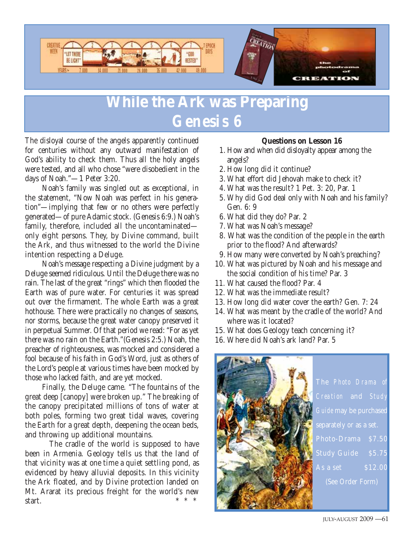

## **While the Ark was Preparing** *Genesis 6*

The disloyal course of the angels apparently continued for centuries without any outward manifestation of God's ability to check them. Thus all the holy angels were tested, and all who chose "were disobedient in the days of Noah."—1 Peter 3:20.

Noah's family was singled out as exceptional, in the statement, "Now Noah was perfect in his generation"—implying that few or no others were perfectly generated—of pure Adamic stock. (Genesis 6:9.) Noah's family, therefore, included all the uncontaminated only eight persons. They, by Divine command, built the Ark, and thus witnessed to the world the Divine intention respecting a Deluge.

Noah's message respecting a Divine judgment by a Deluge seemed ridiculous. Until the Deluge there was no rain. The last of the great "rings" which then flooded the Earth was of pure water. For centuries it was spread out over the firmament. The whole Earth was a great hothouse. There were practically no changes of seasons, nor storms, because the great water canopy preserved it in perpetual Summer. Of that period we read: "For as yet there was no rain on the Earth."(Genesis 2:5.) Noah, the preacher of righteousness, was mocked and considered a fool because of his faith in God's Word, just as others of the Lord's people at various times have been mocked by those who lacked faith, and are yet mocked.

Finally, the Deluge came. "The fountains of the great deep [canopy] were broken up." The breaking of the canopy precipitated millions of tons of water at both poles, forming two great tidal waves, covering the Earth for a great depth, deepening the ocean beds, and throwing up additional mountains.

The cradle of the world is supposed to have been in Armenia. Geology tells us that the land of that vicinity was at one time a quiet settling pond, as evidenced by heavy alluvial deposits. In this vicinity the Ark floated, and by Divine protection landed on Mt. Ararat its precious freight for the world's new start.  $* * * *$ 

#### **Questions on Lesson 16**

- 1. How and when did disloyalty appear among the angels?
- 2. How long did it continue?
- 3. What effort did Jehovah make to check it?
- 4. What was the result? 1 Pet. 3: 20, Par. 1
- 5. Why did God deal only with Noah and his family? Gen. 6: 9
- 6. What did they do? Par. 2
- 7. What was Noah's message?
- 8. What was the condition of the people in the earth prior to the flood? And afterwards?
- 9. How many were converted by Noah's preaching?
- 10. What was pictured by Noah and his message and the social condition of his time? Par. 3
- 11. What caused the flood? Par. 4
- 12. What was the immediate result?
- 13. How long did water cover the earth? Gen. 7: 24
- 14. What was meant by the cradle of the world? And where was it located?
- 15. What does Geology teach concerning it?
- 16. Where did Noah's ark land? Par. 5



The *Photo Drama of Creation* and *Study Guide* may be purchased separately or as a set.  $Study$   $Guide$   $$5.75$  $\Delta s$  a set  $\qquad \qquad$  \$12.00 (See Order Form)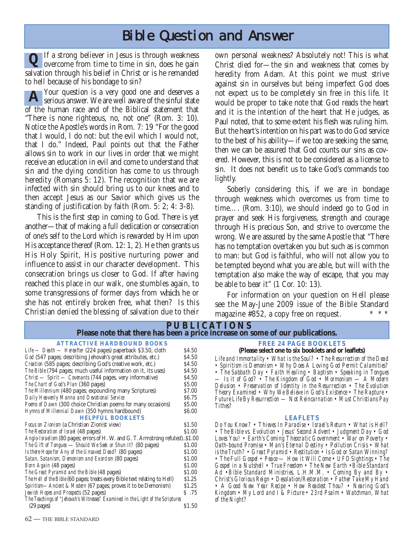## Bible Question and Answer

If a strong believer in Jesus is through weakness overcome from time to time in sin, does he gain salvation through his belief in Christ or is he remanded to hell because of his bondage to sin? **Q**

Your question is a very good one and deserves a serious answer. We are well aware of the sinful state of the human race and of the Biblical statement that "There is none righteous, no, not one" (Rom. 3: 10). Notice the Apostle's words in Rom. 7: 19 "For the good that I would, I do not: but the evil which I would not, that I do." Indeed, Paul points out that the Father allows sin to work in our lives in order that we might receive an education in evil and come to understand that sin and the dying condition has come to us through heredity (Romans 5: 12). The recognition that we are infected with sin should bring us to our knees and to then accept Jesus as our Savior which gives us the standing of justification by faith (Rom. 5: 2; 4: 3-8). **A**

This is the first step in coming to God. There is yet another—that of making a full dedication or consecration of one's self to the Lord which is rewarded by Him upon His acceptance thereof (Rom. 12: 1, 2). He then grants us His Holy Spirit, His positive nurturing power and influence to assist in our character development. This consecration brings us closer to God. If after having reached this place in our walk, one stumbles again, to some transgressions of former days from which he or she has not entirely broken free, what then? Is this Christian denied the blessing of salvation due to their

own personal weakness? Absolutely not! This is what Christ died for—the sin and weakness that comes by heredity from Adam. At this point we must strive against sin in ourselves but being imperfect God does not expect us to be completely sin free in this life. It would be proper to take note that God reads the heart and it is the intention of the heart that He judges, as Paul noted, that to some extent his flesh was ruling him. But the heart's intention on his part was to do God service to the best of his ability—if we too are seeking the same, then we can be assured that God counts our sins as covered. However, this is not to be considered as a license to sin. It does not benefit us to take God's commands too lightly.

Soberly considering this, if we are in bondage through weakness which overcomes us from time to time…. (Rom. 3:10), we should indeed go to God in prayer and seek His forgiveness, strength and courage through His precious Son, and strive to overcome the wrong. We are assured by the same Apostle that "There has no temptation overtaken you but such as is common to man: but God is faithful, who will not allow you to be tempted beyond what you are able, but will with the temptation also make the way of escape, that you may be able to bear it" (1 Cor. 10: 13).

For information on your question on Hell please see the May-June 2009 issue of the Bible Standard magazine  $#852$ , a copy free on request. \* \* \* \*

| <b>PUBLICATIONS</b><br>Please note that there has been a price increase on some of our publications.                                                                                                                                                                                                                                                                                                                                                                                                                                                                                    |                                                                                        |                                                                                                                                                                                                                                                                                                                                                                                                                                                                                                                                                                                                                                                                                                                                                          |  |
|-----------------------------------------------------------------------------------------------------------------------------------------------------------------------------------------------------------------------------------------------------------------------------------------------------------------------------------------------------------------------------------------------------------------------------------------------------------------------------------------------------------------------------------------------------------------------------------------|----------------------------------------------------------------------------------------|----------------------------------------------------------------------------------------------------------------------------------------------------------------------------------------------------------------------------------------------------------------------------------------------------------------------------------------------------------------------------------------------------------------------------------------------------------------------------------------------------------------------------------------------------------------------------------------------------------------------------------------------------------------------------------------------------------------------------------------------------------|--|
| <b>ATTRACTIVE HARDBOUND BOOKS</b><br>Life — Death — Hereafter (224 pages) paperback \$3.50, cloth<br>God (547 pages; describing Jehovah's great attributes, etc.)<br>Creation (585 pages; describing God's creative work, etc.)<br>The Bible (794 pages; much useful information on it, its uses)<br>Christ - Spirit - Covenants (744 pages, very informative)<br>The Chart of God's Plan (360 pages)<br><i>The Millennium</i> (480 pages; expounding many Scriptures)<br>Daily Heavenly Manna and Devotional Service<br>Poems of Dawn (300 choice Christian poems for many occasions)  | \$4.50<br>\$4.50<br>\$4.50<br>\$4.50<br>\$4.50<br>\$5.00<br>\$7.00<br>\$6.75<br>\$5.00 | <b>FREE 24 PAGE BOOKLETS</b><br>(Please select one to six booklets and or leaflets)<br>Life and Immortality • What is the Soul? • The Resurrection of the Dead<br>• Spiritism is Demonism • Why Does A Loving God Permit Calamities?<br>• The Sabbath Day • Faith Healing • Baptism • Speaking in Tongues<br>— Is it of God? • The Kingdom of God • Mormonism — A Modern<br>Delusion • Preservation of Identity in the Resurrection • The Evolution<br>Theory Examined • Why We Believe in God's Existence • The Rapture •<br>Future Life By Resurrection — Not Reincarnation • Must Christians Pay<br>Tithes?                                                                                                                                           |  |
| Hymns of Millennial Dawn (350 hymns hardbound)<br><b>HELPFUL BOOKLETS</b>                                                                                                                                                                                                                                                                                                                                                                                                                                                                                                               | \$6.00                                                                                 | <b>LEAFLETS</b>                                                                                                                                                                                                                                                                                                                                                                                                                                                                                                                                                                                                                                                                                                                                          |  |
| <i>Focus on Zionism</i> (a Christian Zionist view)<br>The Restoration of Israel (48 pages)<br>Anglo-Israelism (80 pages; errors of H. W. and G. T. Armstrong refuted)\$1.00<br>The Gift of Tongues - Should We Seek or Shun It? (80 pages)<br>Is there Hope for Any of the Unsaved Dead? (80 pages)<br>Satan, Satanism, Demonism and Exorcism (80 pages)<br><i>Born Again</i> (48 pages)<br>The Great Pyramid and the Bible (48 pages)<br>The Hell of the Bible (60 pages; treats every Bible text relating to Hell)<br>Spiritism—Ancient & Modern (67 pages; proves it to be Demonism) | \$1.50<br>\$1.00<br>\$1.00<br>\$1.00<br>\$1.00<br>\$1.00<br>\$1.00<br>\$1.25<br>\$1.25 | Do You Know? • Thieves In Paradise • Israel's Return • What is Hell?<br>• The Bible vs. Evolution • Jesus' Second Advent • Judgment Day • God<br>Loves You! • Earth's Coming Theocratic Government • War on Poverty •<br>Oath-bound Promise • Man's Eternal Destiny • Pollution Crisis • What<br>is the Truth? • Great Pyramid • Restitution • Is God or Satan Winning?<br>• The Full Gospel • Peace — How it Will Come • UFO Sightings • The<br>Gospel in a Nutshell • True Freedom • The New Earth • Bible Standard<br>Ad $\bullet$ Bible Standard Ministries, L.H.M.M. $\bullet$ Coming By and By $\bullet$<br>Christ's Glorious Reign • Desolation/Restoration • Father Take My Hand<br>• A Good New Year Recipe • How Readest Thou? • Nearing God's |  |
| Jewish Hopes and Prospects (52 pages)<br>The Teachings of "Jehovah's Witnesses" Examined in the Light of the Scriptures<br>$(29$ pages)                                                                                                                                                                                                                                                                                                                                                                                                                                                 | \$.75<br>\$1.50                                                                        | Kingdom • My Lord and I & Picture • 23rd Psalm • Watchman, What<br>of the Night?                                                                                                                                                                                                                                                                                                                                                                                                                                                                                                                                                                                                                                                                         |  |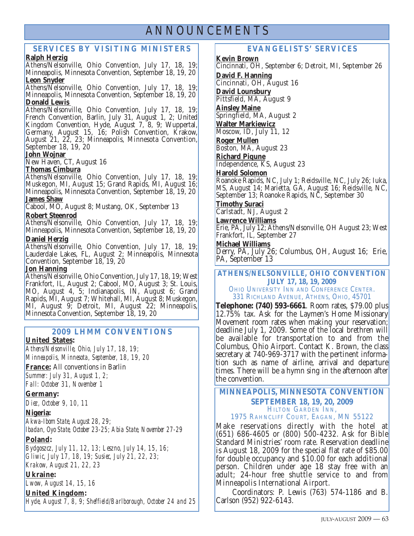### ANNOUNCEMENTS

#### **SERVICES BY VISITING MINISTERS**

#### **Ralph Herzig**

Athens/Nelsonville, Ohio Convention, July 17, 18, 19; Minneapolis, Minnesota Convention, September 18, 19, 20 **Leon Snyder**

Athens/Nelsonville, Ohio Convention, July 17, 18, 19; Minneapolis, Minnesota Convention, September 18, 19, 20 **Donald Lewis** 

Athens/Nelsonville, Ohio Convention, July 17, 18, 19; French Convention, Barlin, July 31, August 1, 2; United Kingdom Convention, Hyde, August 7, 8, 9; Wuppertal, Germany, August 15, 16; Polish Convention, Krakow, August 21, 22, 23; Minneapolis, Minnesota Convention, September 18, 19, 20

#### **John Wojnar**

New Haven, CT, August 16

#### **Thomas Cimbura**

Athens/Nelsonville, Ohio Convention, July 17, 18, 19; Muskegon, MI, August 15; Grand Rapids, MI, August 16; Minneapolis, Minnesota Convention, September 18, 19, 20 **James Shaw**

Cabool, MO, August 8; Mustang, OK, September 13

#### **Robert Steenrod**

Athens/Nelsonville, Ohio Convention, July 17, 18, 19; Minneapolis, Minnesota Convention, September 18, 19, 20 **Daniel Herzig**

Athens/Nelsonville, Ohio Convention, July 17, 18, 19; Lauderdale Lakes, FL, August 2; Minneapolis, Minnesota Convention, September 18, 19, 20

#### **Jon Hanning**

Athens/Nelsonville, Ohio Convention, July 17, 18, 19; West Frankfort, IL, August 2; Cabool, MO, August 3; St. Louis, MO, August 4, 5; Indianapolis, IN, August 6; Grand Rapids, MI, August 7; Whitehall, MI, August 8; Muskegon, MI, August 9; Detroit, MI, August 22; Minneapolis, Minnesota Convention, September 18, 19, 20

#### **2009 LHMM CONVENTIONS**

#### **United States:**

*Athens/Nelsonville, Ohio, July 17, 18, 19; Minneapolis, Minnesota, September, 18, 19, 20*

**France:** All conventions in Barlin

*Summer: July 31, August 1, 2; Fall: October 31, November 1*

#### **Germany:**

*Diez, October 9, 10, 11*

#### **Nigeria:**

*Akwa-Ibom State, August 28, 29;*

*Ibadan, Oyo State, October 23-25; Abia State, November 27-29*

#### **Poland:**

*Bydgoszcz, July 11, 12, 13; Leszno, July 14, 15, 16; Gliwic, July 17, 18, 19; Susiec, July 21, 22, 23; Krakow, August 21, 22, 23*

#### **Ukraine:**

*Lwow, August 14, 15, 16*

#### **United Kingdom:**

*Hyde, August 7, 8, 9; Sheffield/Barlborough, October 24 and 25*

#### **EVANGELISTS' SERVICES**

**Kevin Brown**

Cincinnati, OH, September 6; Detroit, MI, September 26 **David F. Hanning** Cincinnati, OH, August 16 **David Lounsbury** Pittsfield, MA, August 9 **Ainsley Maine** Springfield, MA, August 2 **Walter Markiewicz** Moscow, ID, July 11, 12 **Roger Mullen** Boston, MA, August 23 **Richard Piqune** Independence, KS, August 23 **Harold Solomon** Roanoke Rapids, NC, July 1; Reidsville, NC, July 26; Iuka, MS, August 14; Marietta, GA, August 16; Reidsville, NC, September 13; Roanoke Rapids, NC, September 30 **Timothy Suraci** Carlstadt, NJ, August 2 **Lawrence Williams** Erie, PA, July 12; Athens/Nelsonville, OH August 23; West Frankfort, IL, September 27 **Michael Williams**

Derry, PA, July 26; Columbus, OH, August 16; Erie, PA, September 13

#### **ATHENS/NELSONVILLE, OHIO CONVENTION JULY 17, 18, 19, 2009**  OHIO UNIVERSITY INN AND CONFERENCE CENTER. 331 RICHLAND AVENUE, ATHENS, OHIO, 45701

**Telephone: (740) 593-6661**. Room rates, \$79.00 plus 12.75% tax. Ask for the Laymen's Home Missionary Movement room rates when making your reservation; deadline July 1, 2009. Some of the local brethren will be available for transportation to and from the Columbus, Ohio Airport. Contact K. Brown, the class secretary at 740-969-3717 with the pertinent information such as name of airline, arrival and departure times. There will be a hymn sing in the afternoon after the convention.

#### **MINNEAPOLIS, MINNESOTA CONVENTION SEPTEMBER 18, 19, 20, 2009** HILTON GARDEN INN, 1975 RAHNCLIFF COURT, EAGAN, MN 55122

Make reservations directly with the hotel at (651) 686-4605 or (800) 500-4232. Ask for Bible Standard Ministries' room rate. Reservation deadline is August 18, 2009 for the special flat rate of \$85.00 for double occupancy and \$10.00 for each additional person. Children under age 18 stay free with an adult; 24-hour free shuttle service to and from Minneapolis International Airport.

Coordinators: P. Lewis (763) 574-1186 and B. Carlson (952) 922-6143.